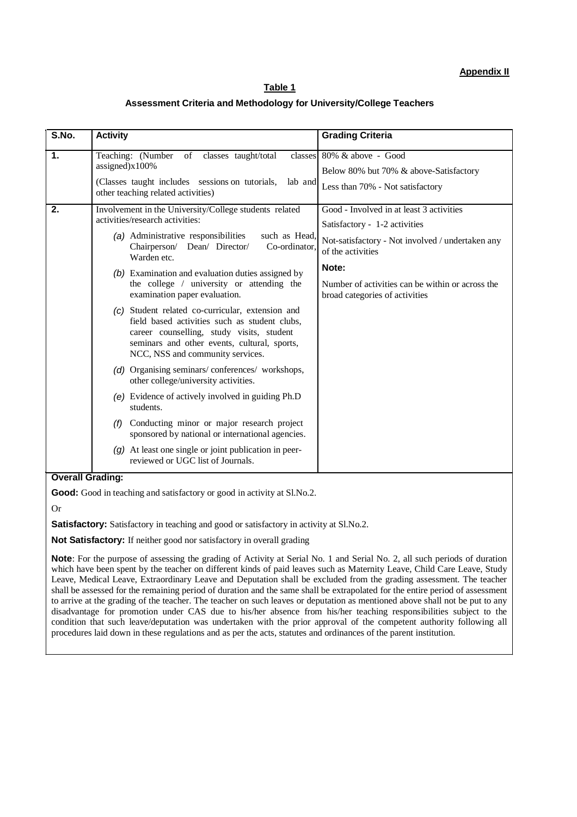## **Table 1**

#### **Assessment Criteria and Methodology for University/College Teachers**

| S.No.                   | <b>Activity</b>                                                                                                                                                                                                                    | <b>Grading Criteria</b>                                                            |  |  |
|-------------------------|------------------------------------------------------------------------------------------------------------------------------------------------------------------------------------------------------------------------------------|------------------------------------------------------------------------------------|--|--|
| 1.                      | Teaching: (Number of classes taught/total                                                                                                                                                                                          | classes 80% & above - Good                                                         |  |  |
|                         | assigned) $x100%$                                                                                                                                                                                                                  | Below 80% but 70% & above-Satisfactory                                             |  |  |
|                         | (Classes taught includes sessions on tutorials,<br>lab and<br>other teaching related activities)                                                                                                                                   | Less than 70% - Not satisfactory                                                   |  |  |
| 2.                      | Involvement in the University/College students related                                                                                                                                                                             | Good - Involved in at least 3 activities                                           |  |  |
|                         | activities/research activities:                                                                                                                                                                                                    | Satisfactory - 1-2 activities                                                      |  |  |
|                         | (a) Administrative responsibilities<br>such as Head,<br>Chairperson/ Dean/ Director/<br>Co-ordinator.<br>Warden etc.                                                                                                               | Not-satisfactory - Not involved / undertaken any<br>of the activities              |  |  |
|                         | (b) Examination and evaluation duties assigned by                                                                                                                                                                                  | Note:                                                                              |  |  |
|                         | the college / university or attending the<br>examination paper evaluation.                                                                                                                                                         | Number of activities can be within or across the<br>broad categories of activities |  |  |
|                         | (c) Student related co-curricular, extension and<br>field based activities such as student clubs,<br>career counselling, study visits, student<br>seminars and other events, cultural, sports,<br>NCC, NSS and community services. |                                                                                    |  |  |
|                         | (d) Organising seminars/conferences/workshops,<br>other college/university activities.                                                                                                                                             |                                                                                    |  |  |
|                         | (e) Evidence of actively involved in guiding Ph.D<br>students.                                                                                                                                                                     |                                                                                    |  |  |
|                         | Conducting minor or major research project<br>(f)<br>sponsored by national or international agencies.                                                                                                                              |                                                                                    |  |  |
|                         | $(g)$ At least one single or joint publication in peer-<br>reviewed or UGC list of Journals.                                                                                                                                       |                                                                                    |  |  |
| <b>Overall Grading:</b> |                                                                                                                                                                                                                                    |                                                                                    |  |  |
|                         | <b>Good:</b> Good in teaching and satisfactory or good in activity at Sl.No.2.                                                                                                                                                     |                                                                                    |  |  |
| <b>Or</b>               |                                                                                                                                                                                                                                    |                                                                                    |  |  |
|                         | <b>Satisfactory:</b> Satisfactory in teaching and good or satisfactory in activity at Sl.No.2.                                                                                                                                     |                                                                                    |  |  |

**Not Satisfactory:** If neither good nor satisfactory in overall grading

**Note**: For the purpose of assessing the grading of Activity at Serial No. 1 and Serial No. 2, all such periods of duration which have been spent by the teacher on different kinds of paid leaves such as Maternity Leave, Child Care Leave, Study Leave, Medical Leave, Extraordinary Leave and Deputation shall be excluded from the grading assessment. The teacher shall be assessed for the remaining period of duration and the same shall be extrapolated for the entire period of assessment to arrive at the grading of the teacher. The teacher on such leaves or deputation as mentioned above shall not be put to any disadvantage for promotion under CAS due to his/her absence from his/her teaching responsibilities subject to the condition that such leave/deputation was undertaken with the prior approval of the competent authority following all procedures laid down in these regulations and as per the acts, statutes and ordinances of the parent institution.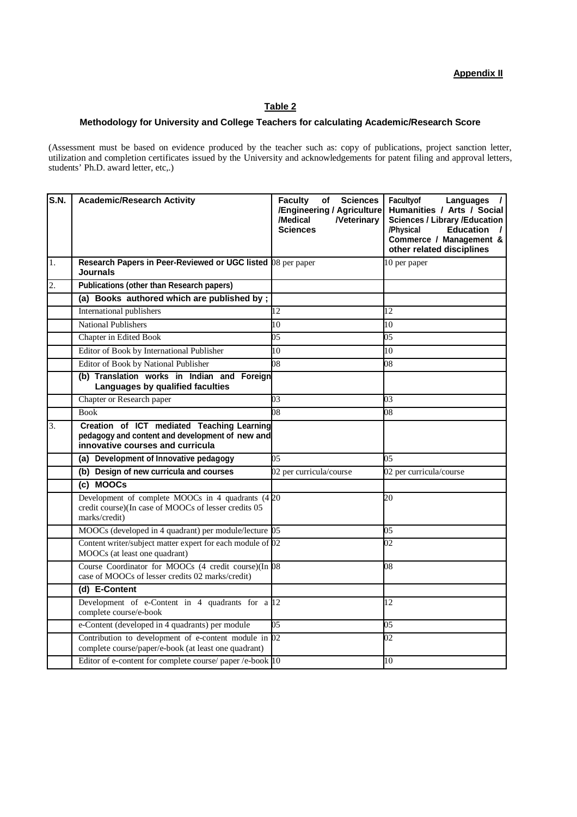# **Appendix II**

### **Table 2**

### **Methodology for University and College Teachers for calculating Academic/Research Score**

(Assessment must be based on evidence produced by the teacher such as: copy of publications, project sanction letter, utilization and completion certificates issued by the University and acknowledgements for patent filing and approval letters, students' Ph.D. award letter, etc,.)

| S.N. | <b>Academic/Research Activity</b>                                                                                                 | <b>Sciences</b><br><b>Faculty</b><br>of<br>/Engineering / Agriculture<br>/Medical<br><b>Neterinary</b><br><b>Sciences</b> | Facultyof<br>Languages<br>$\overline{1}$<br>Humanities / Arts / Social<br><b>Sciences / Library /Education</b><br>/Physical<br><b>Education</b><br>$\overline{1}$<br>Commerce / Management &<br>other related disciplines |
|------|-----------------------------------------------------------------------------------------------------------------------------------|---------------------------------------------------------------------------------------------------------------------------|---------------------------------------------------------------------------------------------------------------------------------------------------------------------------------------------------------------------------|
| 1.   | Research Papers in Peer-Reviewed or UGC listed 08 per paper<br><b>Journals</b>                                                    |                                                                                                                           | 10 per paper                                                                                                                                                                                                              |
| 2.   | <b>Publications (other than Research papers)</b>                                                                                  |                                                                                                                           |                                                                                                                                                                                                                           |
|      | (a) Books authored which are published by;                                                                                        |                                                                                                                           |                                                                                                                                                                                                                           |
|      | International publishers                                                                                                          | 12                                                                                                                        | 12                                                                                                                                                                                                                        |
|      | <b>National Publishers</b>                                                                                                        | 10                                                                                                                        | 10                                                                                                                                                                                                                        |
|      | Chapter in Edited Book                                                                                                            | 05                                                                                                                        | 05                                                                                                                                                                                                                        |
|      | Editor of Book by International Publisher                                                                                         | 10                                                                                                                        | 10                                                                                                                                                                                                                        |
|      | Editor of Book by National Publisher                                                                                              | 08                                                                                                                        | 08                                                                                                                                                                                                                        |
|      | (b) Translation works in Indian and Foreign<br>Languages by qualified faculties                                                   |                                                                                                                           |                                                                                                                                                                                                                           |
|      | Chapter or Research paper                                                                                                         | 03                                                                                                                        | 03                                                                                                                                                                                                                        |
|      | <b>Book</b>                                                                                                                       | 08                                                                                                                        | 08                                                                                                                                                                                                                        |
| 3.   | Creation of ICT mediated Teaching Learning<br>pedagogy and content and development of new and<br>innovative courses and curricula |                                                                                                                           |                                                                                                                                                                                                                           |
|      | (a) Development of Innovative pedagogy                                                                                            | 05                                                                                                                        | 05                                                                                                                                                                                                                        |
|      | (b) Design of new curricula and courses                                                                                           | 02 per curricula/course                                                                                                   | 02 per curricula/course                                                                                                                                                                                                   |
|      | (c) MOOCs                                                                                                                         |                                                                                                                           |                                                                                                                                                                                                                           |
|      | Development of complete MOOCs in 4 quadrants (420<br>credit course)(In case of MOOCs of lesser credits 05<br>marks/credit)        |                                                                                                                           | 20                                                                                                                                                                                                                        |
|      | MOOCs (developed in 4 quadrant) per module/lecture 05                                                                             |                                                                                                                           | 05                                                                                                                                                                                                                        |
|      | Content writer/subject matter expert for each module of 02<br>MOOCs (at least one quadrant)                                       |                                                                                                                           | 02                                                                                                                                                                                                                        |
|      | Course Coordinator for MOOCs (4 credit course)(In 08<br>case of MOOCs of lesser credits 02 marks/credit)                          |                                                                                                                           | 08                                                                                                                                                                                                                        |
|      | (d) E-Content                                                                                                                     |                                                                                                                           |                                                                                                                                                                                                                           |
|      | Development of e-Content in $4$ quadrants for a $12$<br>complete course/e-book                                                    |                                                                                                                           | 12                                                                                                                                                                                                                        |
|      | e-Content (developed in 4 quadrants) per module                                                                                   | 05                                                                                                                        | 05                                                                                                                                                                                                                        |
|      | Contribution to development of e-content module in 02<br>complete course/paper/e-book (at least one quadrant)                     |                                                                                                                           | 02                                                                                                                                                                                                                        |
|      | Editor of e-content for complete course/ paper /e-book 10                                                                         |                                                                                                                           | 10                                                                                                                                                                                                                        |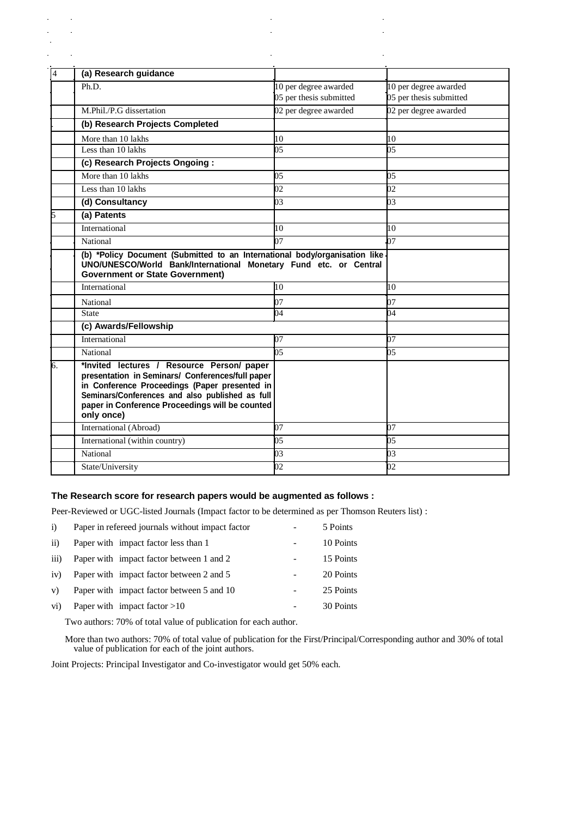| $\overline{4}$ | (a) Research guidance                                                                                                                                                                                                                                               |                         |                         |
|----------------|---------------------------------------------------------------------------------------------------------------------------------------------------------------------------------------------------------------------------------------------------------------------|-------------------------|-------------------------|
|                | Ph.D.                                                                                                                                                                                                                                                               | 10 per degree awarded   | 10 per degree awarded   |
|                |                                                                                                                                                                                                                                                                     | 05 per thesis submitted | 05 per thesis submitted |
|                | M.Phil./P.G dissertation                                                                                                                                                                                                                                            | 02 per degree awarded   | 02 per degree awarded   |
|                | (b) Research Projects Completed                                                                                                                                                                                                                                     |                         |                         |
|                | More than 10 lakhs                                                                                                                                                                                                                                                  | 10                      | 10                      |
|                | Less than 10 lakhs                                                                                                                                                                                                                                                  | $\overline{05}$         | 05                      |
|                | (c) Research Projects Ongoing:                                                                                                                                                                                                                                      |                         |                         |
|                | More than 10 lakhs                                                                                                                                                                                                                                                  | 05                      | 05                      |
|                | Less than 10 lakhs                                                                                                                                                                                                                                                  | $02\overline{)}$        | $_{02}$                 |
|                | (d) Consultancy                                                                                                                                                                                                                                                     | 0 <sub>3</sub>          | 03                      |
|                | (a) Patents                                                                                                                                                                                                                                                         |                         |                         |
|                | International                                                                                                                                                                                                                                                       | 10                      | 10                      |
|                | National                                                                                                                                                                                                                                                            | 07                      | 07                      |
|                | (b) *Policy Document (Submitted to an International body/organisation like<br>UNO/UNESCO/World Bank/International Monetary Fund etc. or Central<br><b>Government or State Government)</b>                                                                           |                         |                         |
|                | International                                                                                                                                                                                                                                                       | 10                      | 10                      |
|                | National                                                                                                                                                                                                                                                            | 07                      | 07                      |
|                | <b>State</b>                                                                                                                                                                                                                                                        | 04                      | 04                      |
|                | (c) Awards/Fellowship                                                                                                                                                                                                                                               |                         |                         |
|                | International                                                                                                                                                                                                                                                       | 07                      | 07                      |
|                | National                                                                                                                                                                                                                                                            | 05                      | 05                      |
| б.             | *Invited lectures / Resource Person/ paper<br>presentation in Seminars/ Conferences/full paper<br>in Conference Proceedings (Paper presented in<br>Seminars/Conferences and also published as full<br>paper in Conference Proceedings will be counted<br>only once) |                         |                         |
|                | International (Abroad)                                                                                                                                                                                                                                              | 07                      | 07                      |
|                | International (within country)                                                                                                                                                                                                                                      | 05                      | 05                      |
|                | National                                                                                                                                                                                                                                                            | 03                      | 03                      |
|                | State/University                                                                                                                                                                                                                                                    | 02                      | 02                      |
|                |                                                                                                                                                                                                                                                                     |                         |                         |

j.

 $\overline{\phantom{a}}$ 

 $\hat{\mathbf{r}}$ 

l,

 $\mathbf{r}$ 

 $\ddot{\phantom{1}}$ 

### **The Research score for research papers would be augmented as follows :**

Peer-Reviewed or UGC-listed Journals (Impact factor to be determined as per Thomson Reuters list) :

| i)              | Paper in refereed journals without impact factor | 5 Points  |
|-----------------|--------------------------------------------------|-----------|
| $\overline{ii}$ | Paper with impact factor less than 1             | 10 Points |
| iii)            | Paper with impact factor between 1 and 2         | 15 Points |
| iv)             | Paper with impact factor between 2 and 5         | 20 Points |
| V)              | Paper with impact factor between 5 and 10        | 25 Points |
| vi)             | Paper with impact factor $>10$                   | 30 Points |
|                 |                                                  |           |

Two authors: 70% of total value of publication for each author.

 $\mathbf{r} = \mathbf{r} \times \mathbf{r}$ 

 $\mathcal{L}^{\text{max}}(\mathcal{L})$ 

 $\mathcal{L}_{\rm{max}}$  $\frac{1}{2} \sum_{i=1}^n \frac{1}{2} \sum_{j=1}^n \frac{1}{2} \sum_{j=1}^n \frac{1}{2} \sum_{j=1}^n \frac{1}{2} \sum_{j=1}^n \frac{1}{2} \sum_{j=1}^n \frac{1}{2} \sum_{j=1}^n \frac{1}{2} \sum_{j=1}^n \frac{1}{2} \sum_{j=1}^n \frac{1}{2} \sum_{j=1}^n \frac{1}{2} \sum_{j=1}^n \frac{1}{2} \sum_{j=1}^n \frac{1}{2} \sum_{j=1}^n \frac{1}{2} \sum_{j=$ 

> More than two authors: 70% of total value of publication for the First/Principal/Corresponding author and 30% of total value of publication for each of the joint authors.

Joint Projects: Principal Investigator and Co-investigator would get 50% each.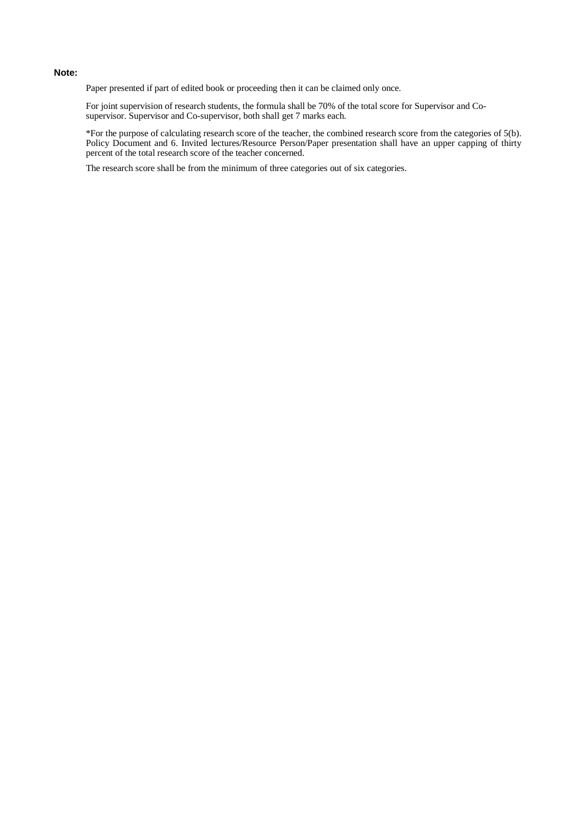#### **Note:**

Paper presented if part of edited book or proceeding then it can be claimed only once.

For joint supervision of research students, the formula shall be 70% of the total score for Supervisor and Cosupervisor. Supervisor and Co-supervisor, both shall get 7 marks each.

\*For the purpose of calculating research score of the teacher, the combined research score from the categories of 5(b). Policy Document and 6. Invited lectures/Resource Person/Paper presentation shall have an upper capping of thirty percent of the total research score of the teacher concerned.

The research score shall be from the minimum of three categories out of six categories.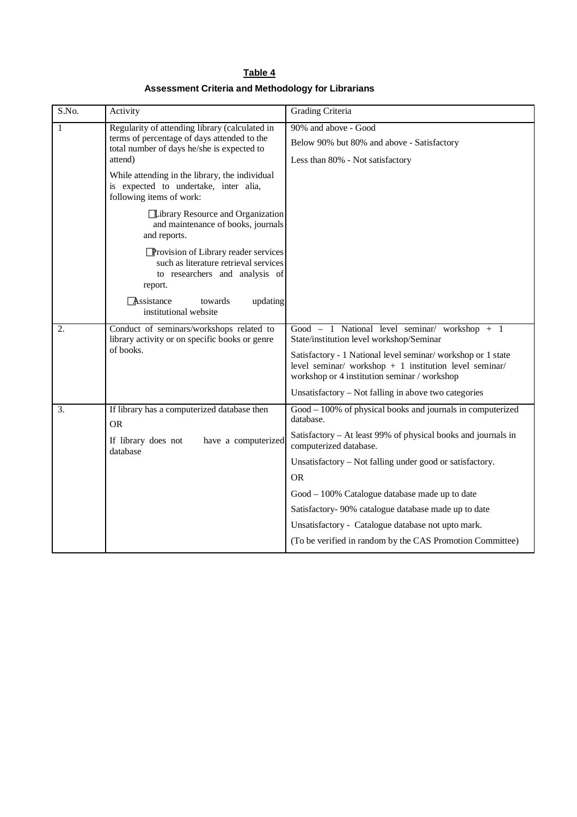| Table 4                                            |  |
|----------------------------------------------------|--|
| Assessment Criteria and Methodology for Librarians |  |

| S.No. | Activity                                                                                                                                               | <b>Grading Criteria</b>                                                                                                                                                |
|-------|--------------------------------------------------------------------------------------------------------------------------------------------------------|------------------------------------------------------------------------------------------------------------------------------------------------------------------------|
| 1     | Regularity of attending library (calculated in<br>terms of percentage of days attended to the<br>total number of days he/she is expected to<br>attend) | 90% and above - Good<br>Below 90% but 80% and above - Satisfactory<br>Less than 80% - Not satisfactory                                                                 |
|       | While attending in the library, the individual<br>is expected to undertake, inter alia,<br>following items of work:                                    |                                                                                                                                                                        |
|       | Library Resource and Organization<br>and maintenance of books, journals<br>and reports.                                                                |                                                                                                                                                                        |
|       | <b>Provision of Library reader services</b><br>such as literature retrieval services<br>to researchers and analysis of<br>report.                      |                                                                                                                                                                        |
|       | updating<br>Assistance<br>towards<br>institutional website                                                                                             |                                                                                                                                                                        |
| 2.    | Conduct of seminars/workshops related to<br>library activity or on specific books or genre<br>of books.                                                | Good - 1 National level seminar/ workshop + 1<br>State/institution level workshop/Seminar                                                                              |
|       |                                                                                                                                                        | Satisfactory - 1 National level seminar/workshop or 1 state<br>level seminar/ workshop $+1$ institution level seminar/<br>workshop or 4 institution seminar / workshop |
|       |                                                                                                                                                        | Unsatisfactory – Not falling in above two categories                                                                                                                   |
| 3.    | If library has a computerized database then<br><b>OR</b>                                                                                               | Good – 100% of physical books and journals in computerized<br>database.                                                                                                |
|       | If library does not<br>have a computerized<br>database                                                                                                 | Satisfactory – At least 99% of physical books and journals in<br>computerized database.                                                                                |
|       |                                                                                                                                                        | Unsatisfactory - Not falling under good or satisfactory.                                                                                                               |
|       |                                                                                                                                                        | <b>OR</b>                                                                                                                                                              |
|       |                                                                                                                                                        | Good - 100% Catalogue database made up to date                                                                                                                         |
|       |                                                                                                                                                        | Satisfactory- 90% catalogue database made up to date                                                                                                                   |
|       |                                                                                                                                                        | Unsatisfactory - Catalogue database not upto mark.                                                                                                                     |
|       |                                                                                                                                                        | (To be verified in random by the CAS Promotion Committee)                                                                                                              |